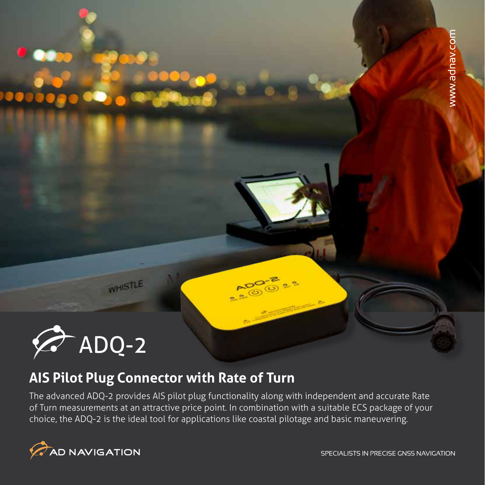

WHISTLE

## **AIS Pilot Plug Connector with Rate of Turn**

The advanced ADQ-2 provides AIS pilot plug functionality along with independent and accurate Rate of Turn measurements at an attractive price point. In combination with a suitable ECS package of your choice, the ADQ-2 is the ideal tool for applications like coastal pilotage and basic maneuvering.